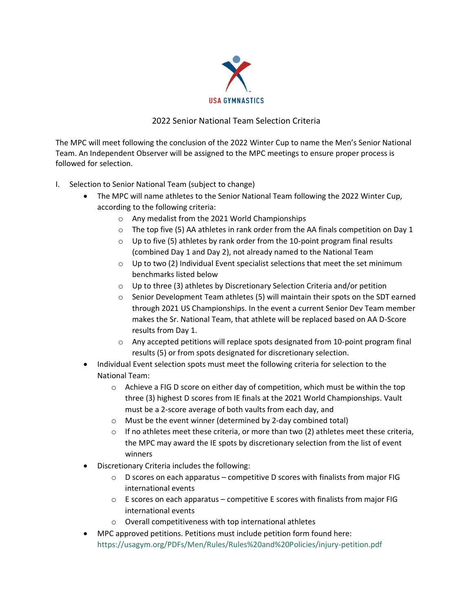

## 2022 Senior National Team Selection Criteria

The MPC will meet following the conclusion of the 2022 Winter Cup to name the Men's Senior National Team. An Independent Observer will be assigned to the MPC meetings to ensure proper process is followed for selection.

- I. Selection to Senior National Team (subject to change)
	- The MPC will name athletes to the Senior National Team following the 2022 Winter Cup, according to the following criteria:
		- o Any medalist from the 2021 World Championships
		- $\circ$  The top five (5) AA athletes in rank order from the AA finals competition on Day 1
		- $\circ$  Up to five (5) athletes by rank order from the 10-point program final results (combined Day 1 and Day 2), not already named to the National Team
		- $\circ$  Up to two (2) Individual Event specialist selections that meet the set minimum benchmarks listed below
		- o Up to three (3) athletes by Discretionary Selection Criteria and/or petition
		- $\circ$  Senior Development Team athletes (5) will maintain their spots on the SDT earned through 2021 US Championships. In the event a current Senior Dev Team member makes the Sr. National Team, that athlete will be replaced based on AA D-Score results from Day 1.
		- $\circ$  Any accepted petitions will replace spots designated from 10-point program final results (5) or from spots designated for discretionary selection.
	- Individual Event selection spots must meet the following criteria for selection to the National Team:
		- $\circ$  Achieve a FIG D score on either day of competition, which must be within the top three (3) highest D scores from IE finals at the 2021 World Championships. Vault must be a 2-score average of both vaults from each day, and
		- o Must be the event winner (determined by 2-day combined total)
		- $\circ$  If no athletes meet these criteria, or more than two (2) athletes meet these criteria, the MPC may award the IE spots by discretionary selection from the list of event winners
	- Discretionary Criteria includes the following:
		- $\circ$  D scores on each apparatus competitive D scores with finalists from major FIG international events
		- $\circ$  E scores on each apparatus competitive E scores with finalists from major FIG international events
		- o Overall competitiveness with top international athletes
	- MPC approved petitions. Petitions must include petition form found here: https://usagym.org/PDFs/Men/Rules/Rules%20and%20Policies/injury-petition.pdf